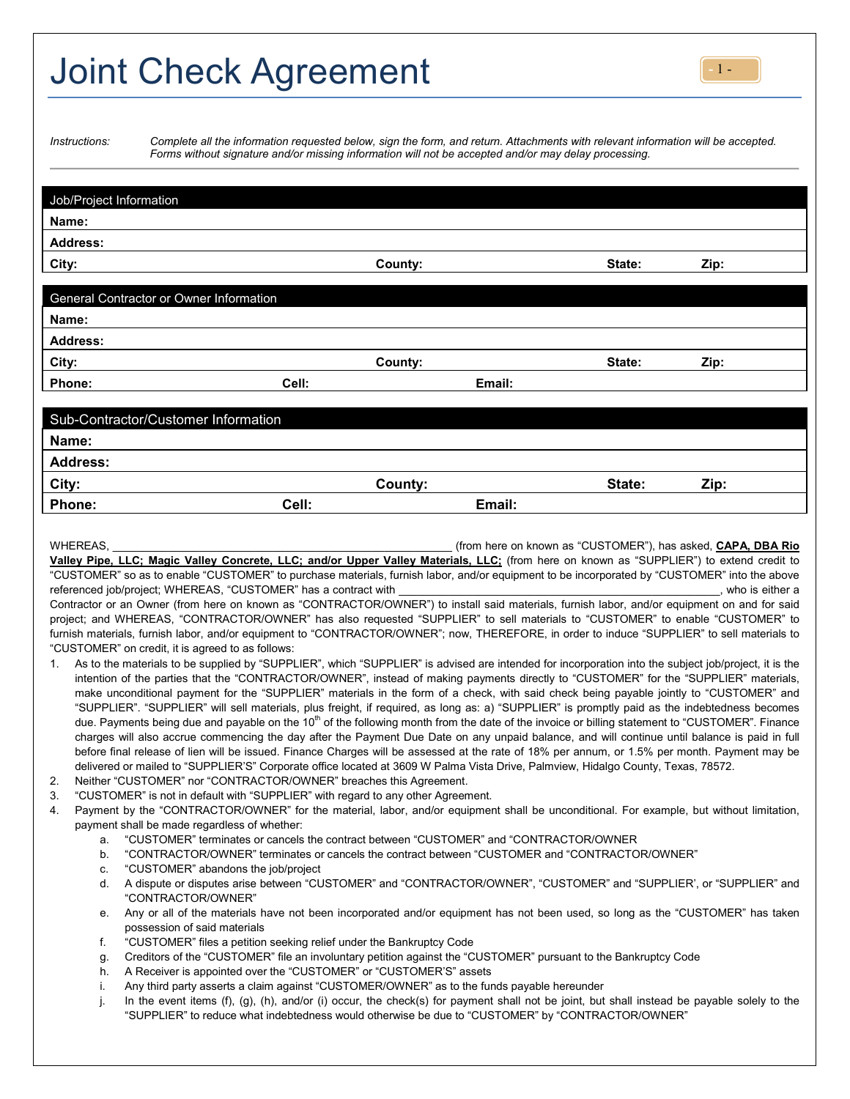## Joint Check Agreement

| <i>Instructions:</i> |  |  |  |
|----------------------|--|--|--|
|                      |  |  |  |
|                      |  |  |  |

*Instructions: Complete all the information requested below, sign the form, and return. Attachments with relevant information will be accepted. Forms without signature and/or missing information will not be accepted and/or may delay processing.*

| Job/Project Information                                                                                                                      |       |                                                                                                                                              |        |      |  |  |  |
|----------------------------------------------------------------------------------------------------------------------------------------------|-------|----------------------------------------------------------------------------------------------------------------------------------------------|--------|------|--|--|--|
| Name:                                                                                                                                        |       |                                                                                                                                              |        |      |  |  |  |
| <b>Address:</b>                                                                                                                              |       |                                                                                                                                              |        |      |  |  |  |
| City:                                                                                                                                        |       | County:                                                                                                                                      | State: | Zip: |  |  |  |
|                                                                                                                                              |       |                                                                                                                                              |        |      |  |  |  |
| General Contractor or Owner Information                                                                                                      |       |                                                                                                                                              |        |      |  |  |  |
| Name:                                                                                                                                        |       |                                                                                                                                              |        |      |  |  |  |
| <b>Address:</b>                                                                                                                              |       |                                                                                                                                              |        |      |  |  |  |
| City:                                                                                                                                        |       | County:                                                                                                                                      | State: | Zip: |  |  |  |
| Phone:                                                                                                                                       | Cell: | Email:                                                                                                                                       |        |      |  |  |  |
|                                                                                                                                              |       |                                                                                                                                              |        |      |  |  |  |
| Sub-Contractor/Customer Information                                                                                                          |       |                                                                                                                                              |        |      |  |  |  |
| Name:                                                                                                                                        |       |                                                                                                                                              |        |      |  |  |  |
| <b>Address:</b>                                                                                                                              |       |                                                                                                                                              |        |      |  |  |  |
| City:                                                                                                                                        |       | County:                                                                                                                                      | State: | Zip: |  |  |  |
| Phone:                                                                                                                                       | Cell: | Email:                                                                                                                                       |        |      |  |  |  |
|                                                                                                                                              |       |                                                                                                                                              |        |      |  |  |  |
| WHEREAS,                                                                                                                                     |       | (from here on known as "CUSTOMER"), has asked, <b>CAPA, DBA Rio</b>                                                                          |        |      |  |  |  |
| Valley Pipe, LLC; Magic Valley Concrete, LLC; and/or Upper Valley Materials, LLC; (from here on known as "SUPPLIER") to extend credit to     |       |                                                                                                                                              |        |      |  |  |  |
| "CUSTOMER" so as to enable "CUSTOMER" to purchase materials, furnish labor, and/or equipment to be incorporated by "CUSTOMER" into the above |       |                                                                                                                                              |        |      |  |  |  |
| referenced job/project; WHEREAS, "CUSTOMER" has a contract with<br>, who is either a                                                         |       |                                                                                                                                              |        |      |  |  |  |
|                                                                                                                                              |       | Contractor or an Owner (from here on known as "CONTRACTOR/OWNER") to install said materials, furnish labor, and/or equipment on and for said |        |      |  |  |  |
| project; and WHEREAS, "CONTRACTOR/OWNER" has also requested "SUPPLIER" to sell materials to "CUSTOMER" to enable "CUSTOMER" to               |       |                                                                                                                                              |        |      |  |  |  |

"CUSTOMER" on credit, it is agreed to as follows: 1. As to the materials to be supplied by "SUPPLIER", which "SUPPLIER" is advised are intended for incorporation into the subject job/project, it is the intention of the parties that the "CONTRACTOR/OWNER", instead of making payments directly to "CUSTOMER" for the "SUPPLIER" materials, make unconditional payment for the "SUPPLIER" materials in the form of a check, with said check being payable jointly to "CUSTOMER" and "SUPPLIER". "SUPPLIER" will sell materials, plus freight, if required, as long as: a) "SUPPLIER" is promptly paid as the indebtedness becomes due. Payments being due and payable on the 10<sup>th</sup> of the following month from the date of the invoice or billing statement to "CUSTOMER". Finance charges will also accrue commencing the day after the Payment Due Date on any unpaid balance, and will continue until balance is paid in full before final release of lien will be issued. Finance Charges will be assessed at the rate of 18% per annum, or 1.5% per month. Payment may be delivered or mailed to "SUPPLIER'S" Corporate office located at 3609 W Palma Vista Drive, Palmview, Hidalgo County, Texas, 78572.

furnish materials, furnish labor, and/or equipment to "CONTRACTOR/OWNER"; now, THEREFORE, in order to induce "SUPPLIER" to sell materials to

- 2. Neither "CUSTOMER" nor "CONTRACTOR/OWNER" breaches this Agreement.
- 3. "CUSTOMER" is not in default with "SUPPLIER" with regard to any other Agreement.
- 4. Payment by the "CONTRACTOR/OWNER" for the material, labor, and/or equipment shall be unconditional. For example, but without limitation, payment shall be made regardless of whether:
	- a. "CUSTOMER" terminates or cancels the contract between "CUSTOMER" and "CONTRACTOR/OWNER
	- b. "CONTRACTOR/OWNER" terminates or cancels the contract between "CUSTOMER and "CONTRACTOR/OWNER"
	- c. "CUSTOMER" abandons the job/project
	- d. A dispute or disputes arise between "CUSTOMER" and "CONTRACTOR/OWNER", "CUSTOMER" and "SUPPLIER', or "SUPPLIER" and "CONTRACTOR/OWNER"
	- e. Any or all of the materials have not been incorporated and/or equipment has not been used, so long as the "CUSTOMER" has taken possession of said materials
	- f. "CUSTOMER" files a petition seeking relief under the Bankruptcy Code
	- g. Creditors of the "CUSTOMER" file an involuntary petition against the "CUSTOMER" pursuant to the Bankruptcy Code
	- h. A Receiver is appointed over the "CUSTOMER" or "CUSTOMER'S" assets
	- i. Any third party asserts a claim against "CUSTOMER/OWNER" as to the funds payable hereunder
	- j. In the event items (f), (g), (h), and/or (i) occur, the check(s) for payment shall not be joint, but shall instead be payable solely to the "SUPPLIER" to reduce what indebtedness would otherwise be due to "CUSTOMER" by "CONTRACTOR/OWNER"